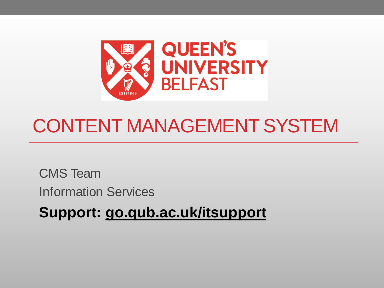

### CONTENT MANAGEMENT SYSTEM

CMS Team Information Services

**Support: go.qub.ac.uk/itsupport**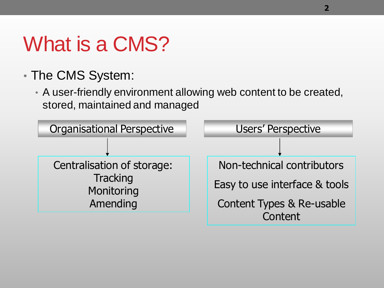## What is a CMS?

- The CMS System:
	- A user-friendly environment allowing web content to be created, stored, maintained and managed

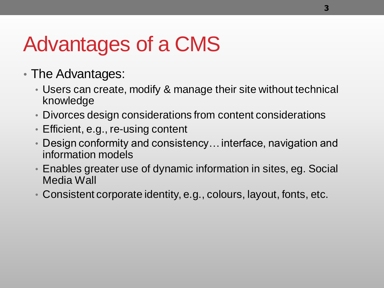# Advantages of a CMS

- The Advantages:
	- Users can create, modify & manage their site without technical knowledge
	- Divorces design considerations from content considerations
	- Efficient, e.g., re-using content
	- Design conformity and consistency… interface, navigation and information models
	- Enables greater use of dynamic information in sites, eg. Social Media Wall
	- Consistent corporate identity, e.g., colours, layout, fonts, etc.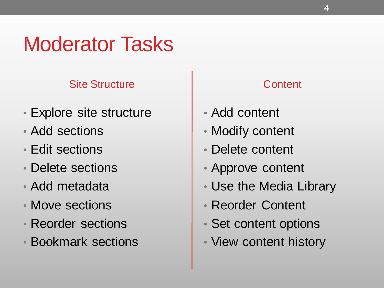### Moderator Tasks

### Site Structure

- Explore site structure
- Add sections
- Edit sections
- Delete sections
- Add metadata
- Move sections
- Reorder sections
- Bookmark sections

### **Content**

- Add content
- Modify content
- Delete content
- Approve content
- Use the Media Library
- Reorder Content
- Set content options
- View content history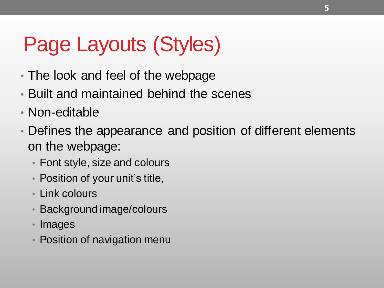# Page Layouts (Styles)

- The look and feel of the webpage
- Built and maintained behind the scenes
- Non-editable
- Defines the appearance and position of different elements on the webpage:
	- Font style, size and colours
	- Position of your unit's title,
	- Link colours
	- Background image/colours
	- Images
	- Position of navigation menu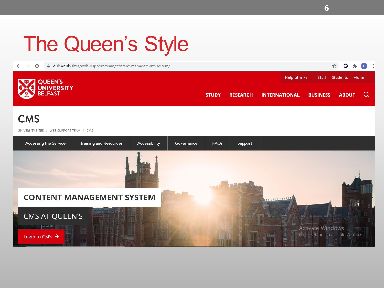# The Queen's Style

A qub.ac.uk/sites/web-support-team/content-management-system/  $\leftarrow$  $\rightarrow$  $\mathcal{C}$ 



#### **CMS**

UNIVERSITY SITES / WEB SUPPORT TEAM / CMS



Q

**ABOUT** 

 $\Omega$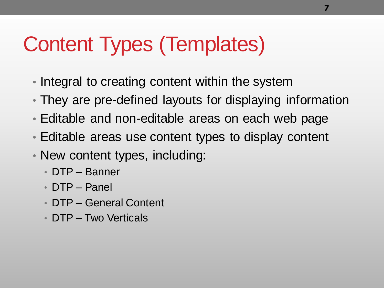## Content Types (Templates)

- Integral to creating content within the system
- They are pre-defined layouts for displaying information
- Editable and non-editable areas on each web page
- Editable areas use content types to display content
- New content types, including:
	- DTP Banner
	- DTP Panel
	- DTP General Content
	- DTP Two Verticals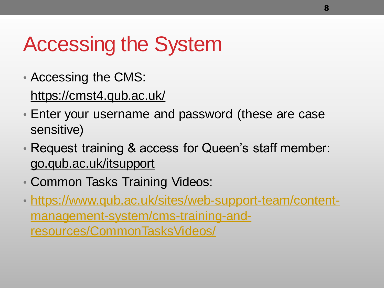# Accessing the System

- Accessing the CMS: https://cmst4.qub.ac.uk/
- Enter your username and password (these are case sensitive)
- Request training & access for Queen's staff member: go.qub.ac.uk/itsupport
- Common Tasks Training Videos:
- [https://www.qub.ac.uk/sites/web-support-team/content](https://www.qub.ac.uk/sites/web-support-team/content-management-system/cms-training-and-resources/CommonTasksVideos/)management-system/cms-training-andresources/CommonTasksVideos/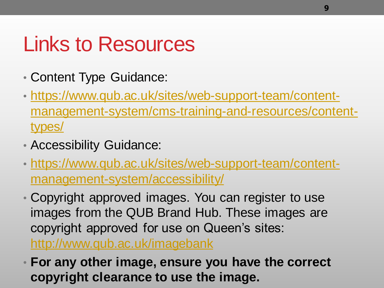### Links to Resources

- Content Type Guidance:
- https://www.qub.ac.uk/sites/web-support-team/content[management-system/cms-training-and-resources/content](https://www.qub.ac.uk/sites/web-support-team/content-management-system/cms-training-and-resources/content-types/)types/
- Accessibility Guidance:
- [https://www.qub.ac.uk/sites/web-support-team/content](https://www.qub.ac.uk/sites/web-support-team/content-management-system/accessibility/)management-system/accessibility/
- Copyright approved images. You can register to use images from the QUB Brand Hub. These images are copyright approved for use on Queen's sites:

<http://www.qub.ac.uk/imagebank>

• **For any other image, ensure you have the correct copyright clearance to use the image.**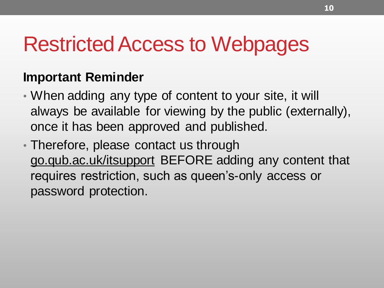### Restricted Access to Webpages

### **Important Reminder**

- When adding any type of content to your site, it will always be available for viewing by the public (externally), once it has been approved and published.
- Therefore, please contact us through go.qub.ac.uk/itsupport BEFORE adding any content that requires restriction, such as queen's-only access or password protection.